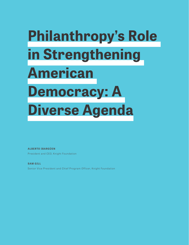## **Philanthropy's Role in Strengthening American Democracy: A Diverse Agenda**

**ALBERTO IBARGÜEN**

President and CEO, Knight Foundation

**SAM GILL** Senior Vice President and Chief Program Officer, Knight Foundation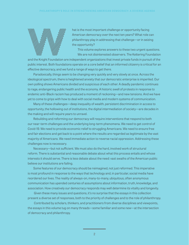

Mat is the most important challenge or opportunity facing<br>American democracy over the next ten years? What role conditations of the philanthropy play in addressing that challenge—or in seizi<br>the opportunity?<br>We are not dis American democracy over the next ten years? What role can philanthropy play in addressing that challenge—or in seizing the opportunity?

This volume explores answers to these two urgent questions. We are not disinterested observers. The Kettering Foundation

and the Knight Foundation are independent organizations that invest private funds in pursuit of the public interest. Both foundations operate on a core belief that an informed citizenry is critical for an effective democracy, and we fund a range of ways to get there.

Paradoxically, things seem to be changing very quickly and very slowly at once. Across the ideological spectrum, there is heightened anxiety that our democratic enterprise is imperiled. Our own polling shows Americans divided and suspicious of each other. A deadly pandemic continues to rage, endangering public health and the economy. A historic swell of protests in response to endemic anti-Black racism has produced a moment of reckoning—and new tensions. And we have yet to come to grips with how to deal with social media and modern systems of communication.

Many of these challenges—deep inequality of wealth, persistent discrimination in access to opportunity, the hollowing out of institutions, the digital intermediation of society—are decades in the making and will require years to unravel.

Rebuilding and reforming our democracy will require interventions that respond to both our near-term challenges and the underlying long-term phenomena. We need to get control of Covid-19. We need to provide economic relief to struggling Americans. We need to ensure free and fair elections and get back to a point where the results are regarded as legitimate by the vast majority of Americans. We need immediate action to reverse racial oppression. Addressing these challenges now is necessary.

Necessary—but not sufficient. We must also do the hard, involved work of structural reform. There is substantial and reasonable debate about what this process entails and whose interests it should serve. There is less debate about the need: vast swaths of the American public believe our institutions are failing.

Some features of our democracy should be reimagined, not just reformed. This imperative is most profound in response to the ways that technology and, in particular, social media have reordered our lives. The reality of always-on, many-to-many, ubiquitous, often anonymous communication has upended centuries of assumptions about information, truth, knowledge, and association. How creatively our democracy responds may well determine its vitality and longevity.

 Given these many issues and questions, it's no surprise that the essays in this collection present a diverse set of responses, both to the priority of challenges and to the role of philanthropy.

 Contributed by scholars, thinkers, and practitioners from diverse disciplines and viewpoints, the essays in this volume tug on many threads—some familiar and some new—at the intersection of democracy and philanthropy.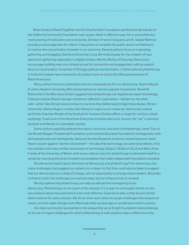Brian Hooks of Stand Together and the Charles Koch Foundation and Antonia Hernández of the California Community Foundation each argue, albeit in different ways, for a comprehensive restructuring of institutions and civil society. Scholars Francis Fukuyama and K. Sabeel Rahman provide practical agendas for reform: Fukuyama's to revitalize the public sector and Rahman's to reverse the concentration of power in our economy. Several authors focus on organizing, gathering, and engaging. Stanford University's Lucy Bernholz argues for the creation of new spaces for gathering, especially in a digital context. Martha McCoy of Everyday Democracy encourages building new civic infrastructure for connection and engagement, with an explicit focus on racial justice. University of Chicago political scientist Cathy J. Cohen exhorts philanthropy to build and sustain new movements of protest to put an end to the killing and exclusion of Black Americans.

 Many authors focus on polarization and its consequences for our democracy. Yascha Mounk of Johns Hopkins University offers prescriptions to restrain populist movements. Daniel M. Rothschild of the Mercatus Center suggests how philanthropy can depoliticize expert knowledge. Political scientist Shanto Iyengar condemns "affective" polarization—disdain for the other side—while Talia Stroud sees promise in practices that deliberately bridge these divides. Brown University's Melvin Rogers recalls John Dewey to inspire us to renew our democratic culture and Emily Chamlee-Wright of the Institute for Humane Studies offers a recipe for civil but critical exchange. Yuval Levin of the American Enterprise Institute asks us to recover the "we," a common purpose and identity in a pluralistic society.

 Some authors explicitly address the nature, structure, and aims of philanthropy. Janet Tran of the Ronald Reagan Presidential Foundation and Institute discusses foundations' homogeneity, both demographically and ideologically. Data and Society Research Institute's danah boyd and Janet Haven caution against "techno-solutionism"—the idea that technology can solve all problems. And two scholars who have written extensively on technology, Safiya U. Noble of UCLA and Mary Anne Franks of the University of Miami, both press radical cases for philanthropy to dismantle itself (in a sense) by reversing the kinds of wealth accumulation that make independent foundations possible.

 Should we be hopeful about the future of democracy and philanthropy? For democracy, the many challenges cited suggest our system is in a deep rot. But they could also be taken to suggest that our democracy is in a state of change, with an opportunity to emerge more resilient. We prefer to think it's both: the challenges are real and deep, but so is the promise of renewal.

 We also believe that philanthropy can help accelerate the reimagining of our democracy. Philanthropy can be a part of the solution, if it is open to continually rethink its own assumptions about how and where to be most effective. Experience tells us that we are not the ideal investors for every solution. We do our best work when we target challenges that exceed our means, and we make change most effectively when we leverage or accelerate trends in society.

 One idea not directly represented in the essays that we at Knight Foundation believe belongs on the list of urgent challenges for which philanthropy is well suited to make a difference is the

3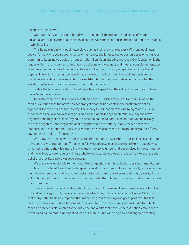collapse of local news.

 Our country's vastness, combined with its regionalism and our proud sense of rugged individualism, makes America a parochial nation. We remain rooted in and connected to the places in which we live.

 This helps explain why local news plays such a vital role in this country. Without local news, you can't know who you're voting for, or what issues, challenges, and opportunities are facing your community. Local news cools the heat of national partisan shouting matches. Our foundation is the legacy of John S. and James L. Knight, who built one of the largest and most successful newspaper companies in the middle of the last century—a collection of proud, independent-minded local papers. The Knight brothers believed that a well-informed community could best determine its own true interests and was essential to a well-functioning, representative democracy. In other words, they believed local news was crucial to democracy.

 Today, the business model for local news has collapsed, but the values that animated it have never been more relevant.

 In partnership with Gallup, we recently surveyed 20,000 Americans for their views on the media. We found that the news has become yet another battlefield in the partisan war of all against all for the future of the country. The survey found that an overwhelming majority (83%) of Americans believe news coverage is politically biased. Many see animus: 74% say the news organizations they distrust are trying to persuade people to adopt a certain viewpoint; 9% say the news organizations they distrust are trying to ruin the country. Many believe perceived inaccuracies are intentional—52% believe reporters misrepresent facts and nearly a third (28%) say reporters make up facts entirely.

 We know that local news is more trusted than national news. And, as our polling revealed, local news spurs civic engagement. Those who follow local news closely are more likely to say they feel attached to where they live, more likely to know how to volunteer and get involved in the community, and more likely to vote regularly. Those who follow local news closely are less likely to express the belief that they have no say in government.

 We therefore would add to the thoughtful suggestions in this collection our recommendation for philanthropy to address the challenge of rebuilding local news. More specifically, to invest in the identification, support, and growth of sustainable local news business models. It is a priority for us at Knight Foundation, and we're ready to partner with other philanthropic organizations who share our commitment.

 There is no shortage of fatalism about the future of local news. The lamentations are familiar: the audience is aging out, there's no money in advertising, the business cannot scale. We agree that many of the basic assumptions that made the great reporting and great profits of the last century possible will undoubtedly need to be revisited. The future (and present) is digital, which means a different relationship to the audience and a different product. Subscriptions may eclipse advertising as the most significant source of revenue. This will bring new challenges: attracting